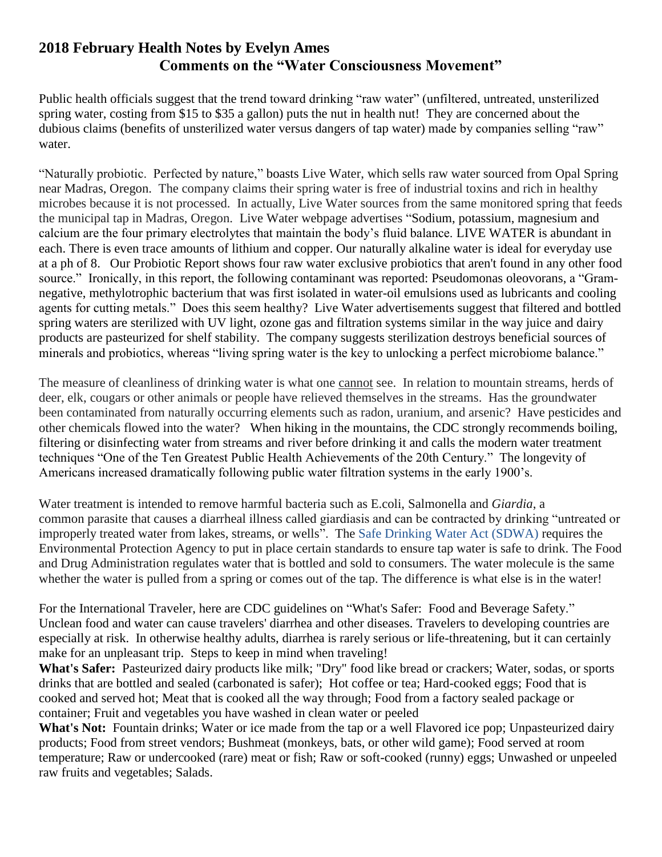## **2018 February Health Notes by Evelyn Ames Comments on the "Water Consciousness Movement"**

Public health officials suggest that the trend toward drinking "raw water" (unfiltered, untreated, unsterilized spring water, costing from \$15 to \$35 a gallon) puts the nut in health nut! They are concerned about the dubious claims (benefits of unsterilized water versus dangers of tap water) made by companies selling "raw" water.

"Naturally probiotic. Perfected by nature," [boasts](https://www.instagram.com/livespringwater/) Live Water, which sells raw water sourced from Opal Spring near Madras, Oregon. The company claims their spring water is free of industrial toxins and rich in healthy microbes because it is not processed. In actually, Live Water sources from the same monitored spring that feeds the municipal tap in Madras, Oregon. Live Water webpage advertises "Sodium, potassium, magnesium and calcium are the four primary electrolytes that maintain the body's fluid balance. LIVE WATER is abundant in each. There is even trace amounts of lithium and copper. Our naturally alkaline water is ideal for everyday use at a ph of 8. Our [Probiotic Report](https://cdn.shopify.com/s/files/1/1285/5473/files/Probiotic_Report.pdf?5535933077177799667) shows four raw water exclusive probiotics that aren't found in any other food source." Ironically, in this report, the following contaminant was reported: Pseudomonas oleovorans, a "Gramnegative, methylotrophic bacterium that was first isolated in water-oil emulsions used as lubricants and cooling agents for cutting metals." Does this seem healthy? Live Water advertisements suggest that filtered and bottled spring waters are sterilized with UV light, ozone gas and filtration systems similar in the way juice and dairy products are pasteurized for shelf stability. The company suggests sterilization destroys beneficial sources of minerals and probiotics, whereas "living spring water is the key to unlocking a perfect microbiome balance."

The measure of cleanliness of drinking water is what one cannot see. In relation to mountain streams, herds of deer, elk, cougars or other animals or people have relieved themselves in the streams. Has the groundwater been contaminated from naturally occurring elements such as radon, uranium, and arsenic? Have pesticides and other chemicals flowed into the water? When hiking in the mountains, the CDC strongly recommends boiling, filtering or disinfecting water from streams and river before drinking it and calls the modern water treatment techniques "One of the Ten Greatest Public Health Achievements of the 20th Century." The longevity of Americans increased dramatically following public water filtration systems in the early 1900's.

Water treatment is intended to remove harmful bacteria such as E.coli, Salmonella and *Giardia*, a common parasite that causes a diarrheal illness called giardiasis and can be contracted by drinking "untreated or improperly treated water from lakes, streams, or wells". The [Safe Drinking Water Act \(SDWA\)](https://www.epa.gov/sdwa/overview-safe-drinking-water-act) requires the Environmental Protection Agency to put in place certain standards to ensure tap water is safe to drink. The Food and Drug Administration regulates water that is bottled and sold to consumers. The water molecule is the same whether the water is pulled from a spring or comes out of the tap. The difference is what else is in the water!

For the International Traveler, here are CDC guidelines on "What's Safer: Food and Beverage Safety." Unclean food and water can cause travelers' diarrhea and other diseases. Travelers to developing countries are especially at risk. In otherwise healthy adults, diarrhea is rarely serious or life-threatening, but it can certainly make for an unpleasant trip. Steps to keep in mind when traveling!

**What's Safer:** Pasteurized dairy products like milk; "Dry" food like bread or crackers; Water, sodas, or sports drinks that are bottled and sealed (carbonated is safer); Hot coffee or tea; Hard-cooked eggs; Food that is cooked and served hot; Meat that is cooked all the way through; Food from a factory sealed package or container; Fruit and vegetables you have washed in clean water or peeled

What's Not: Fountain drinks; Water or ice made from the tap or a well Flavored ice pop; Unpasteurized dairy products; Food from street vendors; Bushmeat (monkeys, bats, or other wild game); Food served at room temperature; Raw or undercooked (rare) meat or fish; Raw or soft-cooked (runny) eggs; Unwashed or unpeeled raw fruits and vegetables; Salads.